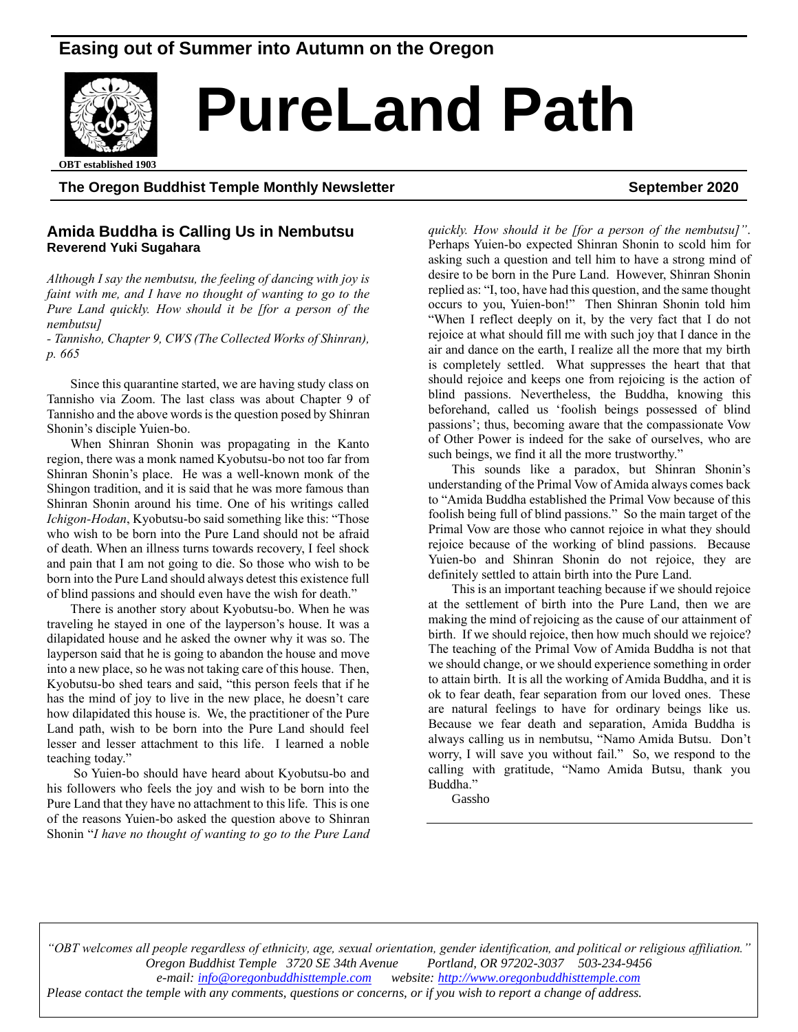# **Easing out of Summer into Autumn on the Oregon**



# **PureLand Path**

ed 1903 **OBT established 1903**

#### **The Oregon Buddhist Temple Monthly Newsletter September 2020**

#### **Amida Buddha is Calling Us in Nembutsu Reverend Yuki Sugahara**

*Although I say the nembutsu, the feeling of dancing with joy is faint with me, and I have no thought of wanting to go to the Pure Land quickly. How should it be [for a person of the nembutsu]*

*- Tannisho, Chapter 9, CWS (The Collected Works of Shinran), p. 665*

Since this quarantine started, we are having study class on Tannisho via Zoom. The last class was about Chapter 9 of Tannisho and the above words is the question posed by Shinran Shonin's disciple Yuien-bo.

When Shinran Shonin was propagating in the Kanto region, there was a monk named Kyobutsu-bo not too far from Shinran Shonin's place. He was a well-known monk of the Shingon tradition, and it is said that he was more famous than Shinran Shonin around his time. One of his writings called *Ichigon-Hodan*, Kyobutsu-bo said something like this: "Those who wish to be born into the Pure Land should not be afraid of death. When an illness turns towards recovery, I feel shock and pain that I am not going to die. So those who wish to be born into the Pure Land should always detest this existence full of blind passions and should even have the wish for death."

There is another story about Kyobutsu-bo. When he was traveling he stayed in one of the layperson's house. It was a dilapidated house and he asked the owner why it was so. The layperson said that he is going to abandon the house and move into a new place, so he was not taking care of this house. Then, Kyobutsu-bo shed tears and said, "this person feels that if he has the mind of joy to live in the new place, he doesn't care how dilapidated this house is. We, the practitioner of the Pure Land path, wish to be born into the Pure Land should feel lesser and lesser attachment to this life. I learned a noble teaching today."

So Yuien-bo should have heard about Kyobutsu-bo and his followers who feels the joy and wish to be born into the Pure Land that they have no attachment to this life. This is one of the reasons Yuien-bo asked the question above to Shinran Shonin "*I have no thought of wanting to go to the Pure Land*  *quickly. How should it be [for a person of the nembutsu]"*. Perhaps Yuien-bo expected Shinran Shonin to scold him for asking such a question and tell him to have a strong mind of desire to be born in the Pure Land. However, Shinran Shonin replied as: "I, too, have had this question, and the same thought occurs to you, Yuien-bon!" Then Shinran Shonin told him "When I reflect deeply on it, by the very fact that I do not rejoice at what should fill me with such joy that I dance in the air and dance on the earth, I realize all the more that my birth is completely settled. What suppresses the heart that that should rejoice and keeps one from rejoicing is the action of blind passions. Nevertheless, the Buddha, knowing this beforehand, called us 'foolish beings possessed of blind passions'; thus, becoming aware that the compassionate Vow of Other Power is indeed for the sake of ourselves, who are such beings, we find it all the more trustworthy."

This sounds like a paradox, but Shinran Shonin's understanding of the Primal Vow of Amida always comes back to "Amida Buddha established the Primal Vow because of this foolish being full of blind passions." So the main target of the Primal Vow are those who cannot rejoice in what they should rejoice because of the working of blind passions. Because Yuien-bo and Shinran Shonin do not rejoice, they are definitely settled to attain birth into the Pure Land.

This is an important teaching because if we should rejoice at the settlement of birth into the Pure Land, then we are making the mind of rejoicing as the cause of our attainment of birth. If we should rejoice, then how much should we rejoice? The teaching of the Primal Vow of Amida Buddha is not that we should change, or we should experience something in order to attain birth. It is all the working of Amida Buddha, and it is ok to fear death, fear separation from our loved ones. These are natural feelings to have for ordinary beings like us. Because we fear death and separation, Amida Buddha is always calling us in nembutsu, "Namo Amida Butsu. Don't worry, I will save you without fail." So, we respond to the calling with gratitude, "Namo Amida Butsu, thank you Buddha."

Gassho

*"OBT welcomes all people regardless of ethnicity, age, sexual orientation, gender identification, and political or religious affiliation." Oregon Buddhist Temple 3720 SE 34th Avenue Portland, OR 97202-3037 503-234-9456 e-mail[: info@oregonbuddhisttemple.com](mailto:info@oregonbuddhisttemple.com) website: [http://www.oregonbuddhisttemple.com](http://www.oregonbuddhisttemple.com/) Please contact the temple with any comments, questions or concerns, or if you wish to report a change of address.*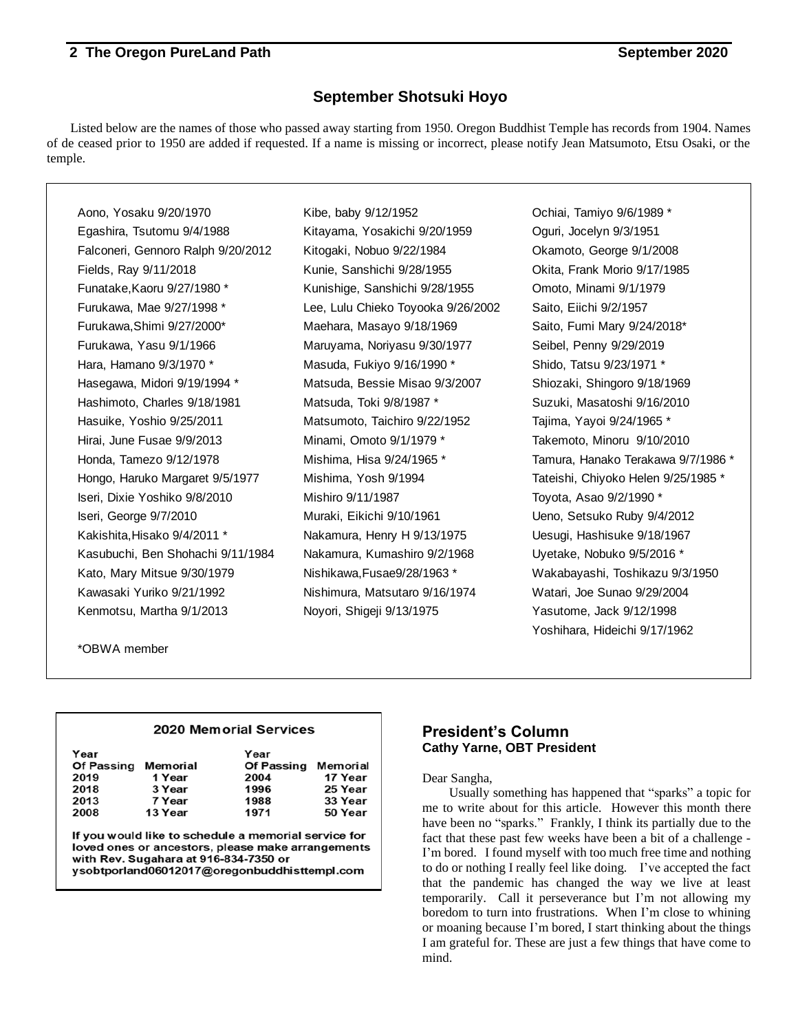### **September Shotsuki Hoyo**

Listed below are the names of those who passed away starting from 1950. Oregon Buddhist Temple has records from 1904. Names of de ceased prior to 1950 are added if requested. If a name is missing or incorrect, please notify Jean Matsumoto, Etsu Osaki, or the temple.

Aono, Yosaku 9/20/1970 Kibe, baby 9/12/1952 Ochiai, Tamiyo 9/6/1989 \* Egashira, Tsutomu 9/4/1988 Kitayama, Yosakichi 9/20/1959 Oguri, Jocelyn 9/3/1951 Falconeri, Gennoro Ralph 9/20/2012 Kitogaki, Nobuo 9/22/1984 Okamoto, George 9/1/2008 Fields, Ray 9/11/2018 **Kunie, Sanshichi 9/28/1955 Okita, Frank Morio 9/17/1985** Funatake,Kaoru 9/27/1980 \* Kunishige, Sanshichi 9/28/1955 Omoto, Minami 9/1/1979 Furukawa, Mae 9/27/1998 \* Lee, Lulu Chieko Toyooka 9/26/2002 Saito, Eiichi 9/2/1957 Furukawa,Shimi 9/27/2000\* Maehara, Masayo 9/18/1969 Saito, Fumi Mary 9/24/2018\* Furukawa, Yasu 9/1/1966 Maruyama, Noriyasu 9/30/1977 Seibel, Penny 9/29/2019 Hara, Hamano 9/3/1970 \* Masuda, Fukiyo 9/16/1990 \* Shido, Tatsu 9/23/1971 \* Hasegawa, Midori 9/19/1994 \* Matsuda, Bessie Misao 9/3/2007 Shiozaki, Shingoro 9/18/1969 Hashimoto, Charles 9/18/1981 Matsuda, Toki 9/8/1987 \* Suzuki, Masatoshi 9/16/2010 Hasuike, Yoshio 9/25/2011 Matsumoto, Taichiro 9/22/1952 Tajima, Yayoi 9/24/1965 \* Hirai, June Fusae 9/9/2013 Minami, Omoto 9/1/1979 \* Takemoto, Minoru 9/10/2010 Honda, Tamezo 9/12/1978 Mishima, Hisa 9/24/1965 \* Tamura, Hanako Terakawa 9/7/1986 \* Hongo, Haruko Margaret 9/5/1977 Mishima, Yosh 9/1994 Tateishi, Chiyoko Helen 9/25/1985 \* Iseri, Dixie Yoshiko 9/8/2010 Mishiro 9/11/1987 Toyota, Asao 9/2/1990 \* Iseri, George 9/7/2010 Muraki, Eikichi 9/10/1961 Ueno, Setsuko Ruby 9/4/2012 Kakishita,Hisako 9/4/2011 \* Nakamura, Henry H 9/13/1975 Uesugi, Hashisuke 9/18/1967 Kasubuchi, Ben Shohachi 9/11/1984 Nakamura, Kumashiro 9/2/1968 Uyetake, Nobuko 9/5/2016 \* Kato, Mary Mitsue 9/30/1979 Nishikawa,Fusae9/28/1963 \* Wakabayashi, Toshikazu 9/3/1950 Kawasaki Yuriko 9/21/1992 Nishimura, Matsutaro 9/16/1974 Watari, Joe Sunao 9/29/2004 Kenmotsu, Martha 9/1/2013 Noyori, Shigeji 9/13/1975 Yasutome, Jack 9/12/1998

Yoshihara, Hideichi 9/17/1962

\*OBWA member

#### **2020 Memorial Services**

| Year<br><b>Of Passing</b><br>2019<br>2018 | Memorial<br>1 Year<br>3 Year | Year<br><b>Of Passing</b><br>2004<br>1996 | Memorial<br>17 Year<br>25 Year |
|-------------------------------------------|------------------------------|-------------------------------------------|--------------------------------|
| 2013                                      | 7 Year                       | 1988                                      | 33 Year                        |
| 2008                                      | 13 Year                      | 1971                                      | 50 Year                        |

If you would like to schedule a memorial service for loved ones or ancestors, please make arrangements with Rev. Sugahara at 916-834-7350 or ysobtporland06012017@oregonbuddhisttempl.com

#### **President's Column Cathy Yarne, OBT President**

Dear Sangha,

Usually something has happened that "sparks" a topic for me to write about for this article. However this month there have been no "sparks." Frankly, I think its partially due to the fact that these past few weeks have been a bit of a challenge - I'm bored. I found myself with too much free time and nothing to do or nothing I really feel like doing. I've accepted the fact that the pandemic has changed the way we live at least temporarily. Call it perseverance but I'm not allowing my boredom to turn into frustrations. When I'm close to whining or moaning because I'm bored, I start thinking about the things I am grateful for. These are just a few things that have come to mind.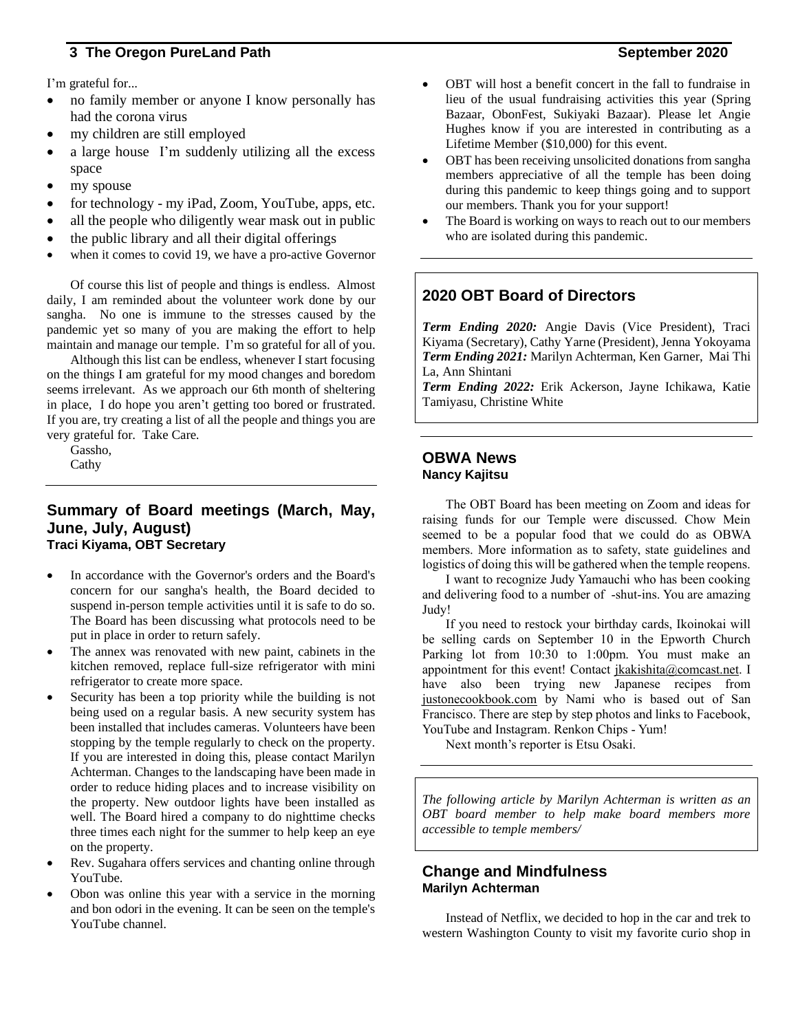I'm grateful for...

- no family member or anyone I know personally has had the corona virus
- my children are still employed
- a large house I'm suddenly utilizing all the excess space
- my spouse
- for technology my iPad, Zoom, YouTube, apps, etc.
- all the people who diligently wear mask out in public
- the public library and all their digital offerings
- when it comes to covid 19, we have a pro-active Governor

Of course this list of people and things is endless. Almost daily, I am reminded about the volunteer work done by our sangha. No one is immune to the stresses caused by the pandemic yet so many of you are making the effort to help maintain and manage our temple. I'm so grateful for all of you.

Although this list can be endless, whenever I start focusing on the things I am grateful for my mood changes and boredom seems irrelevant. As we approach our 6th month of sheltering in place, I do hope you aren't getting too bored or frustrated. If you are, try creating a list of all the people and things you are very grateful for. Take Care.

Gassho, Cathy

#### **Summary of Board meetings (March, May, June, July, August) Traci Kiyama, OBT Secretary**

- In accordance with the Governor's orders and the Board's concern for our sangha's health, the Board decided to suspend in-person temple activities until it is safe to do so. The Board has been discussing what protocols need to be put in place in order to return safely.
- The annex was renovated with new paint, cabinets in the kitchen removed, replace full-size refrigerator with mini refrigerator to create more space.
- Security has been a top priority while the building is not being used on a regular basis. A new security system has been installed that includes cameras. Volunteers have been stopping by the temple regularly to check on the property. If you are interested in doing this, please contact Marilyn Achterman. Changes to the landscaping have been made in order to reduce hiding places and to increase visibility on the property. New outdoor lights have been installed as well. The Board hired a company to do nighttime checks three times each night for the summer to help keep an eye on the property.
- Rev. Sugahara offers services and chanting online through YouTube.
- Obon was online this year with a service in the morning and bon odori in the evening. It can be seen on the temple's YouTube channel.
- OBT will host a benefit concert in the fall to fundraise in lieu of the usual fundraising activities this year (Spring Bazaar, ObonFest, Sukiyaki Bazaar). Please let Angie Hughes know if you are interested in contributing as a Lifetime Member (\$10,000) for this event.
- OBT has been receiving unsolicited donations from sangha members appreciative of all the temple has been doing during this pandemic to keep things going and to support our members. Thank you for your support!
- The Board is working on ways to reach out to our members who are isolated during this pandemic.

### **2020 OBT Board of Directors**

*Term Ending 2020:* Angie Davis (Vice President), Traci Kiyama (Secretary), Cathy Yarne (President), Jenna Yokoyama *Term Ending 2021:* Marilyn Achterman, Ken Garner, Mai Thi La, Ann Shintani

*Term Ending 2022:* Erik Ackerson, Jayne Ichikawa, Katie Tamiyasu, Christine White

#### **OBWA News Nancy Kajitsu**

The OBT Board has been meeting on Zoom and ideas for raising funds for our Temple were discussed. Chow Mein seemed to be a popular food that we could do as OBWA members. More information as to safety, state guidelines and logistics of doing this will be gathered when the temple reopens.

I want to recognize Judy Yamauchi who has been cooking and delivering food to a number of -shut-ins. You are amazing Judy!

If you need to restock your birthday cards, Ikoinokai will be selling cards on September 10 in the Epworth Church Parking lot from 10:30 to 1:00pm. You must make an appointment for this event! Contact [jkakishita@comcast.net.](mailto:jkakishita@comcast.net) I have also been trying new Japanese recipes from [justonecookbook.com](http://justonecookbook.com/) by Nami who is based out of San Francisco. There are step by step photos and links to Facebook, YouTube and Instagram. Renkon Chips - Yum!

Next month's reporter is Etsu Osaki.

*The following article by Marilyn Achterman is written as an OBT board member to help make board members more accessible to temple members/*

#### **Change and Mindfulness Marilyn Achterman**

Instead of Netflix, we decided to hop in the car and trek to western Washington County to visit my favorite curio shop in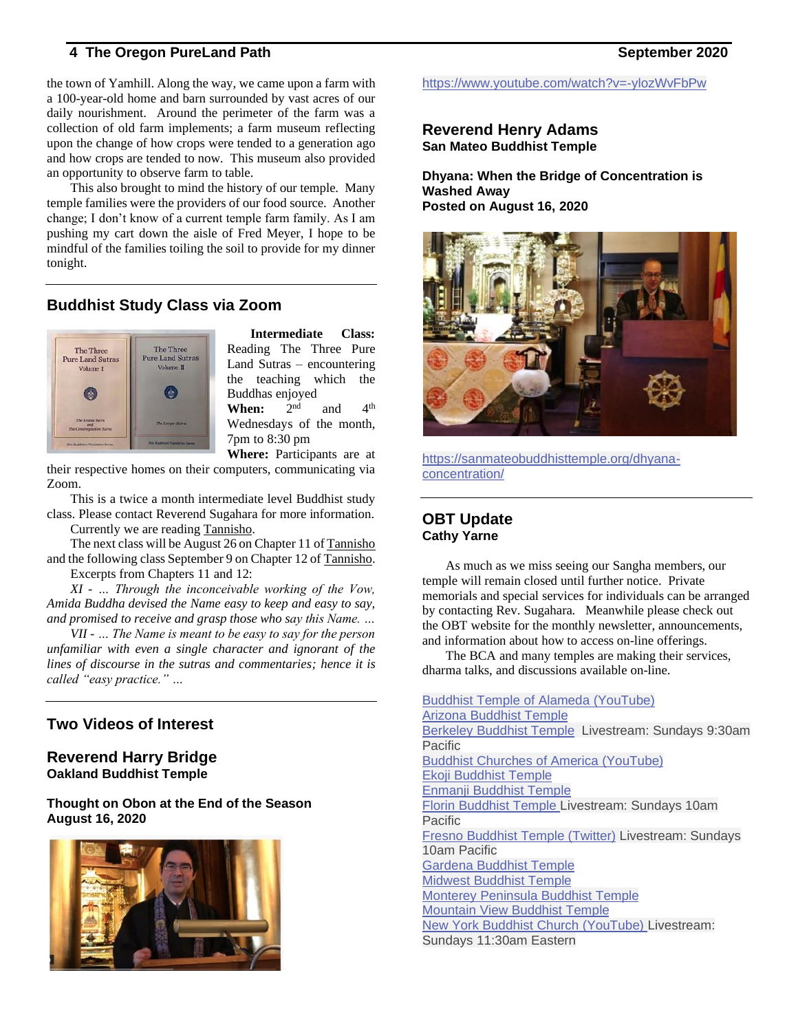the town of Yamhill. Along the way, we came upon a farm with a 100-year-old home and barn surrounded by vast acres of our daily nourishment. Around the perimeter of the farm was a collection of old farm implements; a farm museum reflecting upon the change of how crops were tended to a generation ago and how crops are tended to now. This museum also provided an opportunity to observe farm to table.

This also brought to mind the history of our temple. Many temple families were the providers of our food source. Another change; I don't know of a current temple farm family. As I am pushing my cart down the aisle of Fred Meyer, I hope to be mindful of the families toiling the soil to provide for my dinner tonight.

### **Buddhist Study Class via Zoom**



**Intermediate Class:**  Reading The Three Pure Land Sutras – encountering the teaching which the Buddhas enjoyed<br>When:  $2<sup>nd</sup>$ When: and  $4<sup>th</sup>$ Wednesdays of the month, 7pm to 8:30 pm

**Where:** Participants are at their respective homes on their computers, communicating via Zoom.

This is a twice a month intermediate level Buddhist study class. Please contact Reverend Sugahara for more information.

Currently we are reading Tannisho.

The next class will be August 26 on Chapter 11 of Tannisho and the following class September 9 on Chapter 12 of Tannisho. Excerpts from Chapters 11 and 12:

*XI - … Through the inconceivable working of the Vow, Amida Buddha devised the Name easy to keep and easy to say, and promised to receive and grasp those who say this Name. …*

*VII - … The Name is meant to be easy to say for the person unfamiliar with even a single character and ignorant of the lines of discourse in the sutras and commentaries; hence it is called "easy practice." …*

# **Two Videos of Interest**

### **Reverend Harry Bridge Oakland Buddhist Temple**

**Thought on Obon at the End of the Season August 16, 2020**



<https://www.youtube.com/watch?v=-ylozWvFbPw>

#### **Reverend Henry Adams San Mateo Buddhist Temple**

**Dhyana: When the Bridge of Concentration is Washed Away Posted on August 16, 2020**



[https://sanmateobuddhisttemple.org/dhyana](https://sanmateobuddhisttemple.org/dhyana-concentration/)[concentration/](https://sanmateobuddhisttemple.org/dhyana-concentration/)

### **OBT Update Cathy Yarne**

As much as we miss seeing our Sangha members, our temple will remain closed until further notice. Private memorials and special services for individuals can be arranged by contacting Rev. Sugahara. Meanwhile please check out the OBT website for the monthly newsletter, announcements, and information about how to access on-line offerings.

The BCA and many temples are making their services, dharma talks, and discussions available on-line.

Buddhist Temple of Alameda [\(YouTube\)](https://www.youtube.com/channel/UCMjHuAaUCcsICBfQwlfTT-w) Arizona [Buddhist](https://www.azbuddhisttemple.org/) Temple Berkeley [Buddhist](https://www.berkeleybuddhisttemple.org/dharma-live) Temple Livestream: Sundays 9:30am Pacific Buddhist Churches of America [\(YouTube\)](https://www.youtube.com/c/BuddhistChurchesofAmerica) Ekoji [Buddhist](https://www.ekoji.org/sunday-service-at-ekoji/) Temple Enmanji [Buddhist](https://www.enmanjitemple.com/) Temple Florin [Buddhist](https://www.facebook.com/pg/florinbuddhist/videos/) Temple Livestream: Sundays 10am **Pacific** Fresno [Buddhist](https://twitter.com/fresno_nishi) Temple (Twitter) Livestream: Sundays 10am Pacific [Gardena](https://www.gardenabuddhistchurch.org/) Buddhist Temple Midwest [Buddhist](https://mbtchicago.org/category/dharma-talks/) Temple Monterey [Peninsula](https://montereybt.org/) Buddhist Temple [Mountain](http://mvbuddhisttemple.org/) View Buddhist Temple New York Buddhist Church [\(YouTube\)](https://www.youtube.com/channel/UCqB-jDwuxDJ_MqY5Ls4JNNw) Livestream: Sundays 11:30am Eastern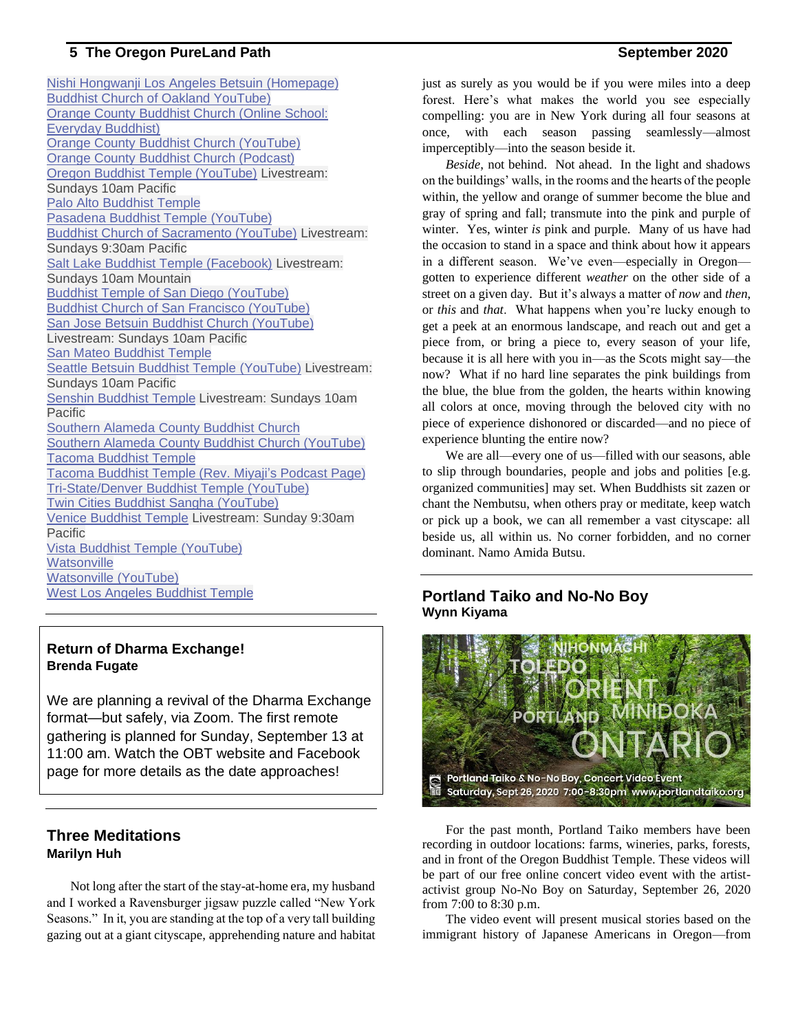Nishi Hongwanji Los Angeles Betsuin [\(Homepage\)](https://www.nishihongwanji-la.org/) Buddhist Church of Oakland [YouTube\)](https://www.youtube.com/channel/UCgo9UpJkW7uQLCbU6fPMZ7Q) Orange County [Buddhist](https://www.everydaybuddhist.org/) Church (Online School: Everyday [Buddhist\)](https://www.everydaybuddhist.org/) Orange County Buddhist Church [\(YouTube\)](https://www.youtube.com/channel/UCbZRjesGUxitRFzu5FmCmWA) Orange County Buddhist Church [\(Podcast\)](https://soundcloud.com/weeklywheel) Oregon Buddhist Temple [\(YouTube\)](https://www.youtube.com/user/OregonBuddhistTemple) Livestream: Sundays 10am Pacific Palo Alto [Buddhist](http://www.pabt.org/sermons.html) Temple Pasadena Buddhist Temple [\(YouTube\)](https://www.youtube.com/channel/UCn0j5IFElUZ8qjO48GWVZ3Q/featured) Buddhist Church of [Sacramento](https://www.youtube.com/channel/UCBikIbUw1xTOmyEFd60Dqsw) (YouTube) Livestream: Sundays 9:30am Pacific Salt Lake Buddhist Temple [\(Facebook\)](https://bit.ly/2IZM71A) Livestream: Sundays 10am Mountain Buddhist Temple of San Diego [\(YouTube\)](https://www.youtube.com/channel/UCOTS9No-07n-oep1qYRzDtw) Buddhist Church of San Francisco [\(YouTube\)](https://www.youtube.com/channel/UCybBRtgwGmJeMdvn3RpfD_A) San Jose Betsuin Buddhist Church [\(YouTube\)](http://bit.ly/2VYqSoV) Livestream: Sundays 10am Pacific San Mateo [Buddhist](https://mailchi.mp/6758845317ba/smbt-service-info) Temple Seattle Betsuin Buddhist Temple [\(YouTube\)](https://www.youtube.com/seattlebuddhisttemple) Livestream: Sundays 10am Pacific Senshin [Buddhist](https://www.senshintemple.org/) Temple Livestream: Sundays 10am Pacific [Southern](https://sacbc.org/family-dharma-service/) Alameda County Buddhist Church Southern Alameda County Buddhist Church [\(YouTube\)](https://www.youtube.com/channel/UCmgRhr4lMq-H0LfEBTjGvWQ) Tacoma [Buddhist](https://www.youtube.com/channel/UCSjeUsyIkbG_e74q-CM1Sig) Temple Tacoma [Buddhist](https://podcasts.apple.com/us/podcast/no-doubt-a-shin-buddhist-approach/id1511351502) Temple (Rev. Miyaji's Podcast Page) [Tri-State/Denver](https://www.youtube.com/channel/UCcbOYnmCje6MzgWNCw6yP5w) Buddhist Temple (YouTube) Twin Cities Buddhist Sangha [\(YouTube\)](https://www.youtube.com/channel/UC2vsOINwTpZJRWhD6-2Sr2g) Venice [Buddhist](https://vhbt.org/) Temple Livestream: Sunday 9:30am Pacific Vista Buddhist Temple [\(YouTube\)](https://www.youtube.com/vistabuddha%E2%80%AC?fbclid=IwAR0hHhgKVoR35chzulTxJxMTo9en22flk7syqNjQdv9wjz1mmWre1WMx5fQ) **[Watsonville](https://wbtemple.org/)** [Watsonville](https://www.youtube.com/channel/UC0IcKHEliJuw5fouMUUlEMA) (YouTube) West Los Angeles [Buddhist](http://westlosangelesbuddhisttemple.org/) Temple

#### **Return of Dharma Exchange! Brenda Fugate**

We are planning a revival of the Dharma Exchange format—but safely, via Zoom. The first remote gathering is planned for Sunday, September 13 at 11:00 am. Watch the OBT website and Facebook page for more details as the date approaches!

### **Three Meditations Marilyn Huh**

Not long after the start of the stay-at-home era, my husband and I worked a Ravensburger jigsaw puzzle called "New York Seasons." In it, you are standing at the top of a very tall building gazing out at a giant cityscape, apprehending nature and habitat just as surely as you would be if you were miles into a deep forest. Here's what makes the world you see especially compelling: you are in New York during all four seasons at once, with each season passing seamlessly—almost imperceptibly—into the season beside it.

*Beside*, not behind. Not ahead. In the light and shadows on the buildings' walls, in the rooms and the hearts of the people within, the yellow and orange of summer become the blue and gray of spring and fall; transmute into the pink and purple of winter. Yes, winter *is* pink and purple. Many of us have had the occasion to stand in a space and think about how it appears in a different season. We've even—especially in Oregon gotten to experience different *weather* on the other side of a street on a given day. But it's always a matter of *now* and *then*, or *this* and *that*. What happens when you're lucky enough to get a peek at an enormous landscape, and reach out and get a piece from, or bring a piece to, every season of your life, because it is all here with you in—as the Scots might say—the now? What if no hard line separates the pink buildings from the blue, the blue from the golden, the hearts within knowing all colors at once, moving through the beloved city with no piece of experience dishonored or discarded—and no piece of experience blunting the entire now?

We are all—every one of us—filled with our seasons, able to slip through boundaries, people and jobs and polities [e.g. organized communities] may set. When Buddhists sit zazen or chant the Nembutsu, when others pray or meditate, keep watch or pick up a book, we can all remember a vast cityscape: all beside us, all within us. No corner forbidden, and no corner dominant. Namo Amida Butsu.

### **Portland Taiko and No-No Boy Wynn Kiyama**



For the past month, Portland Taiko members have been recording in outdoor locations: farms, wineries, parks, forests, and in front of the Oregon Buddhist Temple. These videos will be part of our free online concert video event with the artistactivist group No-No Boy on Saturday, September 26, 2020 from 7:00 to 8:30 p.m.

The video event will present musical stories based on the immigrant history of Japanese Americans in Oregon—from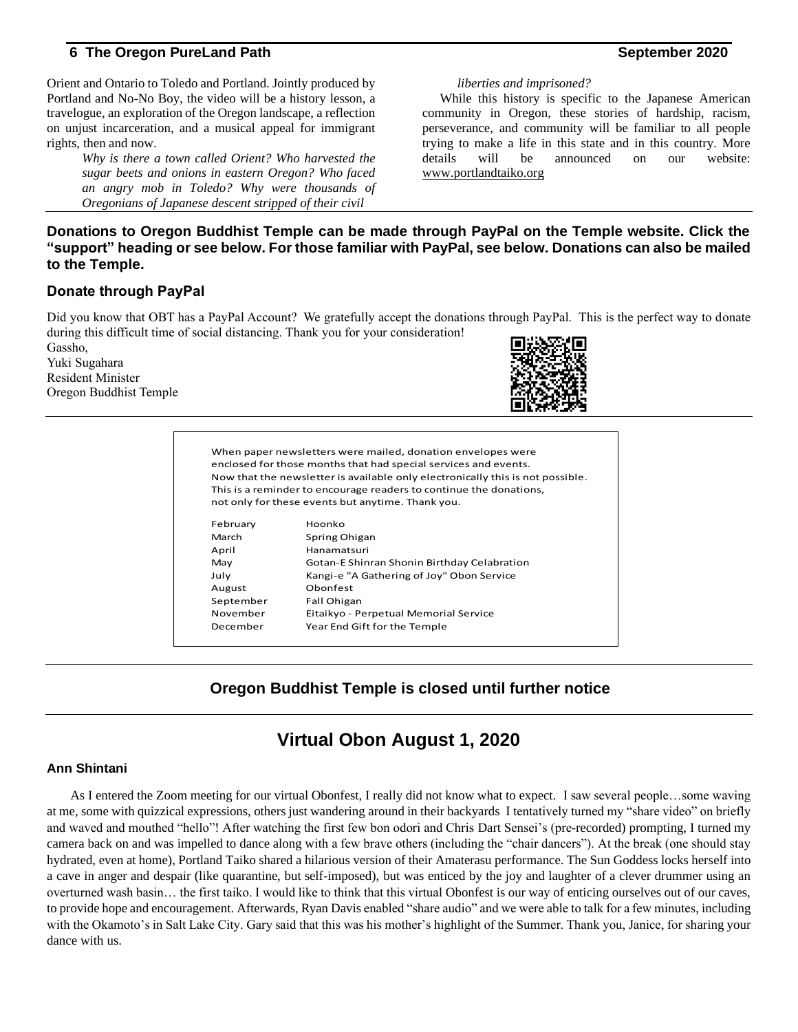Orient and Ontario to Toledo and Portland. Jointly produced by Portland and No-No Boy, the video will be a history lesson, a travelogue, an exploration of the Oregon landscape, a reflection on unjust incarceration, and a musical appeal for immigrant rights, then and now.

> *Why is there a town called Orient? Who harvested the sugar beets and onions in eastern Oregon? Who faced an angry mob in Toledo? Why were thousands of Oregonians of Japanese descent stripped of their civil*

#### *liberties and imprisoned?*

While this history is specific to the Japanese American community in Oregon, these stories of hardship, racism, perseverance, and community will be familiar to all people trying to make a life in this state and in this country. More details will be announced on our website: [www.portlandtaiko.org](http://www.portlandtaiko.org/)

### **Donations to Oregon Buddhist Temple can be made through PayPal on the Temple website. Click the "support" heading or see below. For those familiar with PayPal, see below. Donations can also be mailed to the Temple.**

#### **Donate through PayPal**

Did you know that OBT has a PayPal Account? We gratefully accept the donations through PayPal. This is the perfect way to donate during this difficult time of social distancing. Thank you for your consideration!

Gassho, Yuki Sugahara Resident Minister Oregon Buddhist Temple



| When paper newsletters were mailed, donation envelopes were<br>enclosed for those months that had special services and events.<br>Now that the newsletter is available only electronically this is not possible.<br>This is a reminder to encourage readers to continue the donations,<br>not only for these events but anytime. Thank you. |                                             |  |
|---------------------------------------------------------------------------------------------------------------------------------------------------------------------------------------------------------------------------------------------------------------------------------------------------------------------------------------------|---------------------------------------------|--|
| February                                                                                                                                                                                                                                                                                                                                    | Hoonko                                      |  |
| March                                                                                                                                                                                                                                                                                                                                       | Spring Ohigan                               |  |
| April                                                                                                                                                                                                                                                                                                                                       | Hanamatsuri                                 |  |
| May                                                                                                                                                                                                                                                                                                                                         | Gotan-E Shinran Shonin Birthday Celabration |  |
| July                                                                                                                                                                                                                                                                                                                                        | Kangi-e "A Gathering of Joy" Obon Service   |  |
| August                                                                                                                                                                                                                                                                                                                                      | Obonfest                                    |  |
| September                                                                                                                                                                                                                                                                                                                                   | Fall Ohigan                                 |  |
| November                                                                                                                                                                                                                                                                                                                                    | Eitaikyo - Perpetual Memorial Service       |  |
| December                                                                                                                                                                                                                                                                                                                                    | Year End Gift for the Temple                |  |
|                                                                                                                                                                                                                                                                                                                                             |                                             |  |

## **Oregon Buddhist Temple is closed until further notice**

# **Virtual Obon August 1, 2020**

#### **Ann Shintani**

As I entered the Zoom meeting for our virtual Obonfest, I really did not know what to expect. I saw several people…some waving at me, some with quizzical expressions, others just wandering around in their backyards I tentatively turned my "share video" on briefly and waved and mouthed "hello"! After watching the first few bon odori and Chris Dart Sensei's (pre-recorded) prompting, I turned my camera back on and was impelled to dance along with a few brave others (including the "chair dancers"). At the break (one should stay hydrated, even at home), Portland Taiko shared a hilarious version of their Amaterasu performance. The Sun Goddess locks herself into a cave in anger and despair (like quarantine, but self-imposed), but was enticed by the joy and laughter of a clever drummer using an overturned wash basin… the first taiko. I would like to think that this virtual Obonfest is our way of enticing ourselves out of our caves, to provide hope and encouragement. Afterwards, Ryan Davis enabled "share audio" and we were able to talk for a few minutes, including with the Okamoto's in Salt Lake City. Gary said that this was his mother's highlight of the Summer. Thank you, Janice, for sharing your dance with us.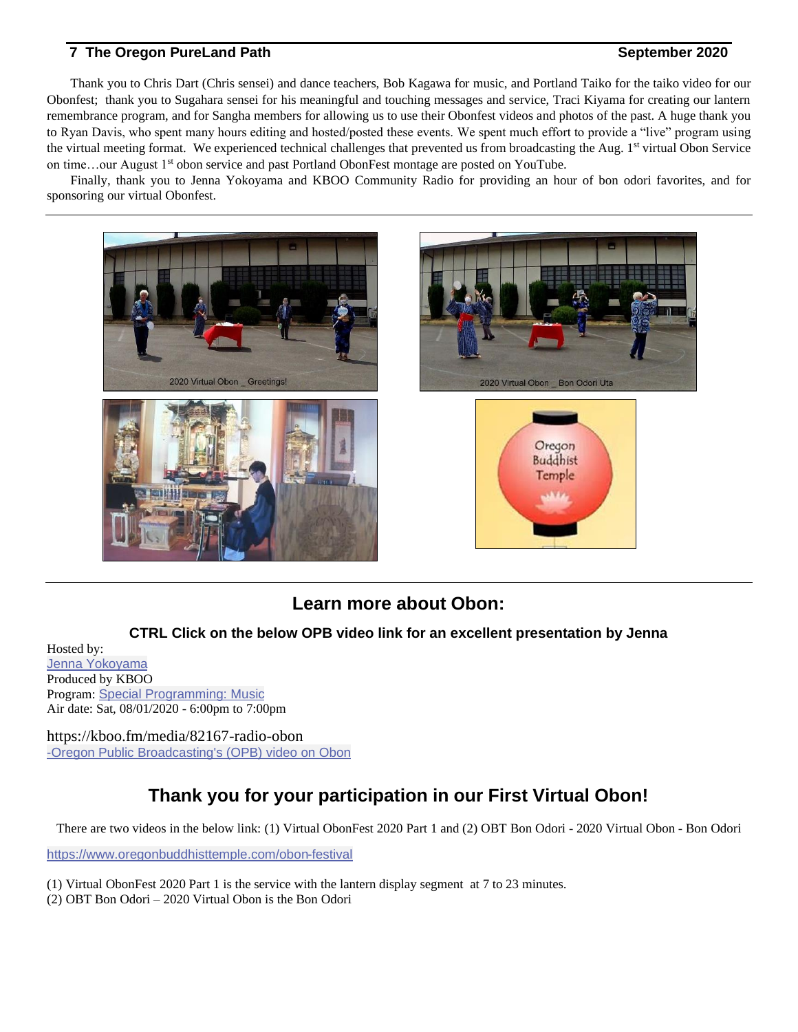Thank you to Chris Dart (Chris sensei) and dance teachers, Bob Kagawa for music, and Portland Taiko for the taiko video for our Obonfest; thank you to Sugahara sensei for his meaningful and touching messages and service, Traci Kiyama for creating our lantern remembrance program, and for Sangha members for allowing us to use their Obonfest videos and photos of the past. A huge thank you to Ryan Davis, who spent many hours editing and hosted/posted these events. We spent much effort to provide a "live" program using the virtual meeting format. We experienced technical challenges that prevented us from broadcasting the Aug. 1<sup>st</sup> virtual Obon Service on time...our August 1<sup>st</sup> obon service and past Portland ObonFest montage are posted on YouTube.

Finally, thank you to Jenna Yokoyama and KBOO Community Radio for providing an hour of bon odori favorites, and for sponsoring our virtual Obonfest.









# **Learn more about Obon:**

### **CTRL Click on the below OPB video link for an excellent presentation by Jenna**

Hosted by: Jenna [Yokoyama](https://kboo.fm/profiles/jenna-yokoyama) Produced by KBOO Program: Special [Programming:](https://kboo.fm/program/special-programming-music) Music Air date: Sat, 08/01/2020 - 6:00pm to 7:00pm

https://kboo.fm/media/82167-radio-obon -Oregon Public [Broadcasting's](https://www.youtube.com/watch?v=-C52JmMGEoI) (OPB) video on Obon

# **Thank you for your participation in our First Virtual Obon!**

There are two videos in the below link: (1) Virtual ObonFest 2020 Part 1 and (2) OBT Bon Odori - 2020 Virtual Obon - Bon Odori

<https://www.oregonbuddhisttemple.com/obon-festival>

- (1) Virtual ObonFest 2020 Part 1 is the service with the lantern display segment at 7 to 23 minutes.
- (2) OBT Bon Odori 2020 Virtual Obon is the Bon Odori